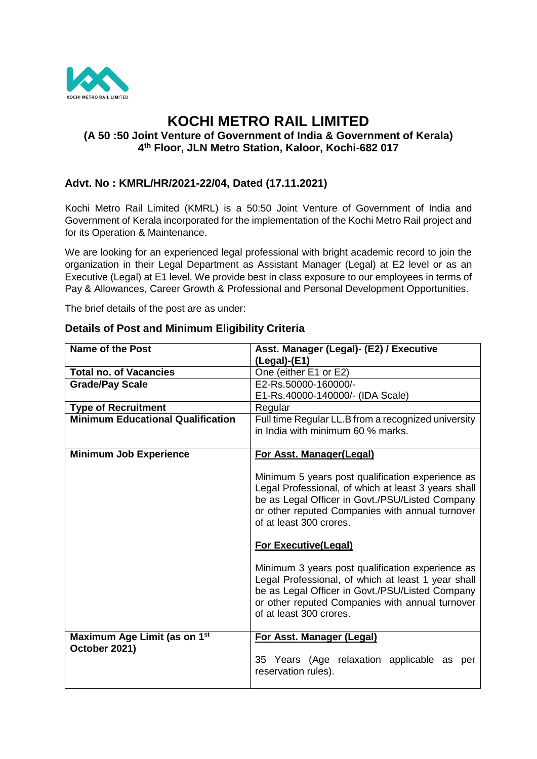

# **KOCHI METRO RAIL LIMITED (A 50 :50 Joint Venture of Government of India & Government of Kerala) 4 th Floor, JLN Metro Station, Kaloor, Kochi-682 017**

## **Advt. No : KMRL/HR/2021-22/04, Dated (17.11.2021)**

Kochi Metro Rail Limited (KMRL) is a 50:50 Joint Venture of Government of India and Government of Kerala incorporated for the implementation of the Kochi Metro Rail project and for its Operation & Maintenance.

We are looking for an experienced legal professional with bright academic record to join the organization in their Legal Department as Assistant Manager (Legal) at E2 level or as an Executive (Legal) at E1 level. We provide best in class exposure to our employees in terms of Pay & Allowances, Career Growth & Professional and Personal Development Opportunities.

The brief details of the post are as under:

| <b>Name of the Post</b>                  | Asst. Manager (Legal)- (E2) / Executive                                                                                                                                                                                                  |
|------------------------------------------|------------------------------------------------------------------------------------------------------------------------------------------------------------------------------------------------------------------------------------------|
|                                          | $($ Legal $)$ - $($ E1 $)$                                                                                                                                                                                                               |
| <b>Total no. of Vacancies</b>            | One (either E1 or E2)                                                                                                                                                                                                                    |
| <b>Grade/Pay Scale</b>                   | E2-Rs.50000-160000/-                                                                                                                                                                                                                     |
|                                          | E1-Rs.40000-140000/- (IDA Scale)                                                                                                                                                                                                         |
| <b>Type of Recruitment</b>               | Regular                                                                                                                                                                                                                                  |
| <b>Minimum Educational Qualification</b> | Full time Regular LL.B from a recognized university                                                                                                                                                                                      |
|                                          | in India with minimum 60 % marks.                                                                                                                                                                                                        |
|                                          |                                                                                                                                                                                                                                          |
| <b>Minimum Job Experience</b>            | For Asst. Manager(Legal)                                                                                                                                                                                                                 |
|                                          | Minimum 5 years post qualification experience as<br>Legal Professional, of which at least 3 years shall<br>be as Legal Officer in Govt./PSU/Listed Company<br>or other reputed Companies with annual turnover<br>of at least 300 crores. |
|                                          | <b>For Executive(Legal)</b>                                                                                                                                                                                                              |
|                                          | Minimum 3 years post qualification experience as<br>Legal Professional, of which at least 1 year shall<br>be as Legal Officer in Govt./PSU/Listed Company<br>or other reputed Companies with annual turnover<br>of at least 300 crores.  |
| Maximum Age Limit (as on 1 <sup>st</sup> | For Asst. Manager (Legal)                                                                                                                                                                                                                |
| October 2021)                            | 35 Years (Age relaxation applicable as per<br>reservation rules).                                                                                                                                                                        |

### **Details of Post and Minimum Eligibility Criteria**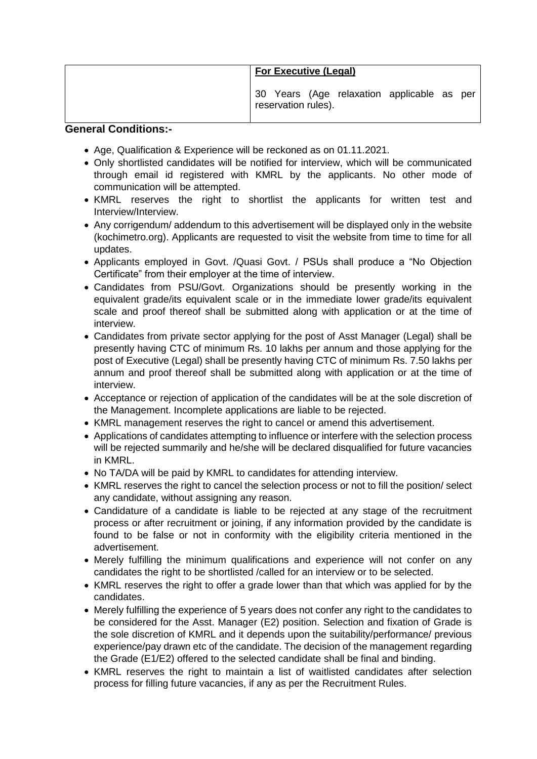| <b>For Executive (Legal)</b>                                      |
|-------------------------------------------------------------------|
| 30 Years (Age relaxation applicable as per<br>reservation rules). |

#### **General Conditions:-**

- Age, Qualification & Experience will be reckoned as on 01.11.2021.
- Only shortlisted candidates will be notified for interview, which will be communicated through email id registered with KMRL by the applicants. No other mode of communication will be attempted.
- KMRL reserves the right to shortlist the applicants for written test and Interview/Interview.
- Any corrigendum/ addendum to this advertisement will be displayed only in the website (kochimetro.org). Applicants are requested to visit the website from time to time for all updates.
- Applicants employed in Govt. /Quasi Govt. / PSUs shall produce a "No Objection Certificate" from their employer at the time of interview.
- Candidates from PSU/Govt. Organizations should be presently working in the equivalent grade/its equivalent scale or in the immediate lower grade/its equivalent scale and proof thereof shall be submitted along with application or at the time of interview.
- Candidates from private sector applying for the post of Asst Manager (Legal) shall be presently having CTC of minimum Rs. 10 lakhs per annum and those applying for the post of Executive (Legal) shall be presently having CTC of minimum Rs. 7.50 lakhs per annum and proof thereof shall be submitted along with application or at the time of interview.
- Acceptance or rejection of application of the candidates will be at the sole discretion of the Management. Incomplete applications are liable to be rejected.
- KMRL management reserves the right to cancel or amend this advertisement.
- Applications of candidates attempting to influence or interfere with the selection process will be rejected summarily and he/she will be declared disqualified for future vacancies in KMRL.
- No TA/DA will be paid by KMRL to candidates for attending interview.
- KMRL reserves the right to cancel the selection process or not to fill the position/ select any candidate, without assigning any reason.
- Candidature of a candidate is liable to be rejected at any stage of the recruitment process or after recruitment or joining, if any information provided by the candidate is found to be false or not in conformity with the eligibility criteria mentioned in the advertisement.
- Merely fulfilling the minimum qualifications and experience will not confer on any candidates the right to be shortlisted /called for an interview or to be selected.
- KMRL reserves the right to offer a grade lower than that which was applied for by the candidates.
- Merely fulfilling the experience of 5 years does not confer any right to the candidates to be considered for the Asst. Manager (E2) position. Selection and fixation of Grade is the sole discretion of KMRL and it depends upon the suitability/performance/ previous experience/pay drawn etc of the candidate. The decision of the management regarding the Grade (E1/E2) offered to the selected candidate shall be final and binding.
- KMRL reserves the right to maintain a list of waitlisted candidates after selection process for filling future vacancies, if any as per the Recruitment Rules.